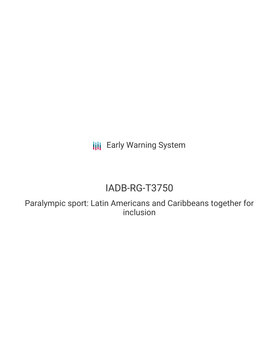**III** Early Warning System

# IADB-RG-T3750

Paralympic sport: Latin Americans and Caribbeans together for inclusion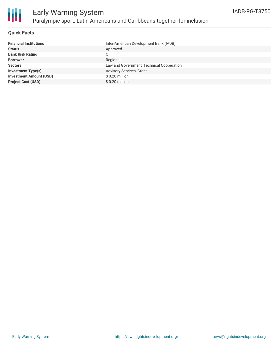

#### **Quick Facts**

| <b>Financial Institutions</b>  | Inter-American Development Bank (IADB)    |
|--------------------------------|-------------------------------------------|
| <b>Status</b>                  | Approved                                  |
| <b>Bank Risk Rating</b>        | С                                         |
| <b>Borrower</b>                | Regional                                  |
| <b>Sectors</b>                 | Law and Government, Technical Cooperation |
| <b>Investment Type(s)</b>      | <b>Advisory Services, Grant</b>           |
| <b>Investment Amount (USD)</b> | $$0.20$ million                           |
| <b>Project Cost (USD)</b>      | \$0.20 million                            |
|                                |                                           |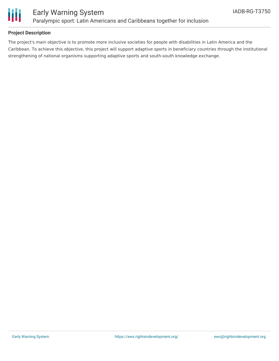

#### **Project Description**

The project's main objective is to promote more inclusive societies for people with disabilities in Latin America and the Caribbean. To achieve this objective, this project will support adaptive sports in beneficiary countries through the institutional strengthening of national organisms supporting adaptive sports and south-south knowledge exchange.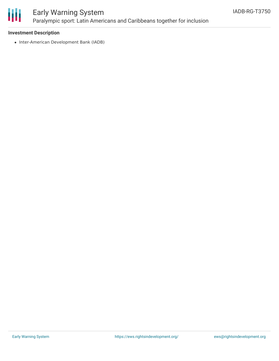

### Early Warning System Paralympic sport: Latin Americans and Caribbeans together for inclusion

#### **Investment Description**

• Inter-American Development Bank (IADB)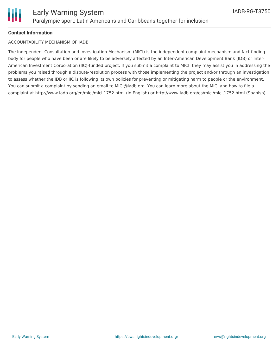

#### **Contact Information**

#### ACCOUNTABILITY MECHANISM OF IADB

The Independent Consultation and Investigation Mechanism (MICI) is the independent complaint mechanism and fact-finding body for people who have been or are likely to be adversely affected by an Inter-American Development Bank (IDB) or Inter-American Investment Corporation (IIC)-funded project. If you submit a complaint to MICI, they may assist you in addressing the problems you raised through a dispute-resolution process with those implementing the project and/or through an investigation to assess whether the IDB or IIC is following its own policies for preventing or mitigating harm to people or the environment. You can submit a complaint by sending an email to MICI@iadb.org. You can learn more about the MICI and how to file a complaint at http://www.iadb.org/en/mici/mici,1752.html (in English) or http://www.iadb.org/es/mici/mici,1752.html (Spanish).